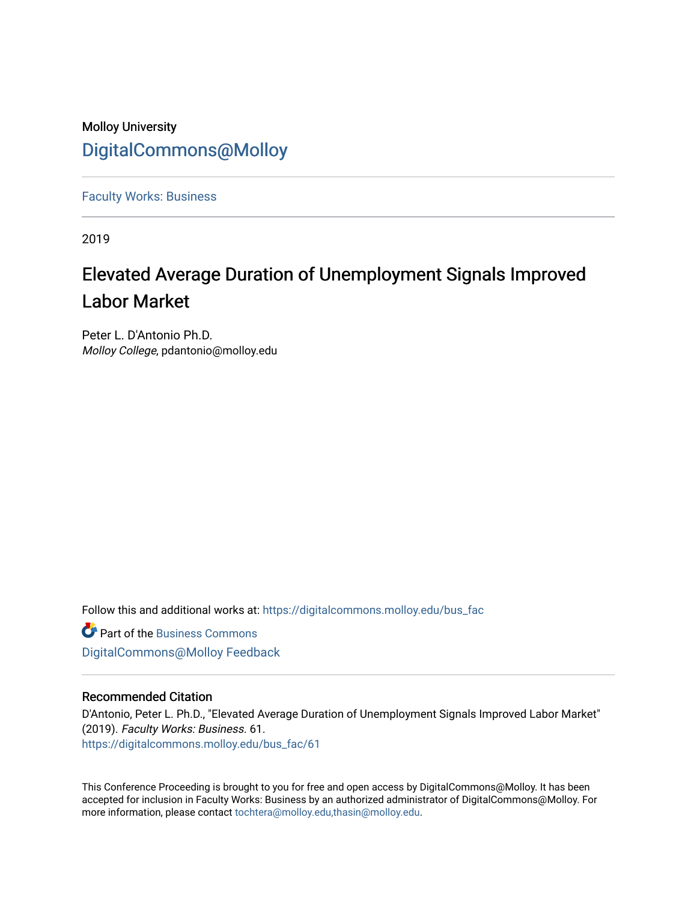## Molloy University [DigitalCommons@Molloy](https://digitalcommons.molloy.edu/)

[Faculty Works: Business](https://digitalcommons.molloy.edu/bus_fac) 

2019

# Elevated Average Duration of Unemployment Signals Improved Labor Market

Peter L. D'Antonio Ph.D. Molloy College, pdantonio@molloy.edu

Follow this and additional works at: [https://digitalcommons.molloy.edu/bus\\_fac](https://digitalcommons.molloy.edu/bus_fac?utm_source=digitalcommons.molloy.edu%2Fbus_fac%2F61&utm_medium=PDF&utm_campaign=PDFCoverPages)

**C** Part of the [Business Commons](https://network.bepress.com/hgg/discipline/622?utm_source=digitalcommons.molloy.edu%2Fbus_fac%2F61&utm_medium=PDF&utm_campaign=PDFCoverPages) [DigitalCommons@Molloy Feedback](https://molloy.libwizard.com/f/dcfeedback)

#### Recommended Citation

D'Antonio, Peter L. Ph.D., "Elevated Average Duration of Unemployment Signals Improved Labor Market" (2019). Faculty Works: Business. 61. [https://digitalcommons.molloy.edu/bus\\_fac/61](https://digitalcommons.molloy.edu/bus_fac/61?utm_source=digitalcommons.molloy.edu%2Fbus_fac%2F61&utm_medium=PDF&utm_campaign=PDFCoverPages) 

This Conference Proceeding is brought to you for free and open access by DigitalCommons@Molloy. It has been accepted for inclusion in Faculty Works: Business by an authorized administrator of DigitalCommons@Molloy. For more information, please contact [tochtera@molloy.edu,thasin@molloy.edu.](mailto:tochtera@molloy.edu,thasin@molloy.edu)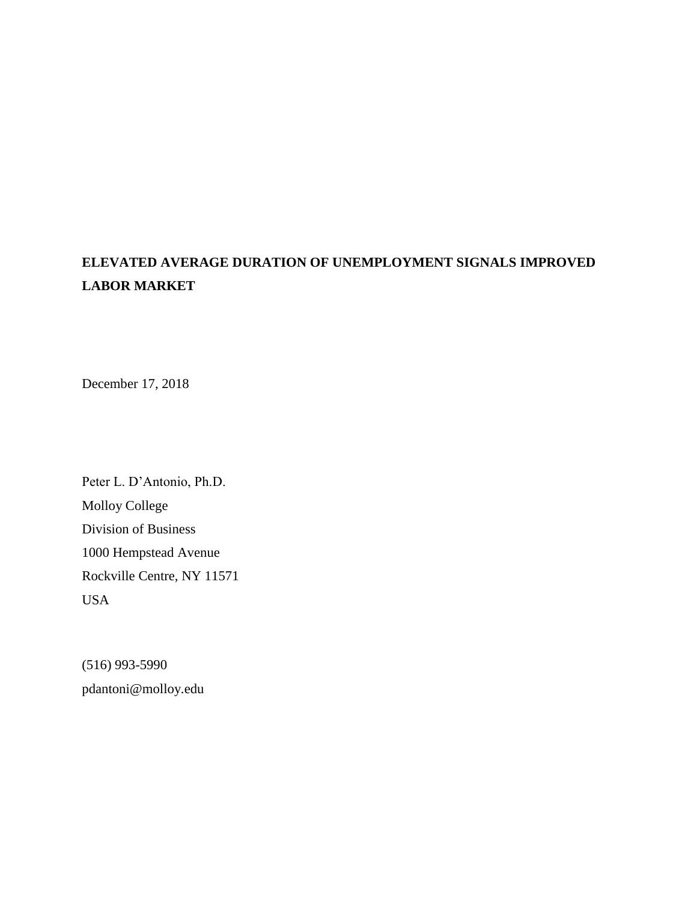## **ELEVATED AVERAGE DURATION OF UNEMPLOYMENT SIGNALS IMPROVED LABOR MARKET**

December 17, 2018

Peter L. D'Antonio, Ph.D. Molloy College Division of Business 1000 Hempstead Avenue Rockville Centre, NY 11571 USA

(516) 993-5990 pdantoni@molloy.edu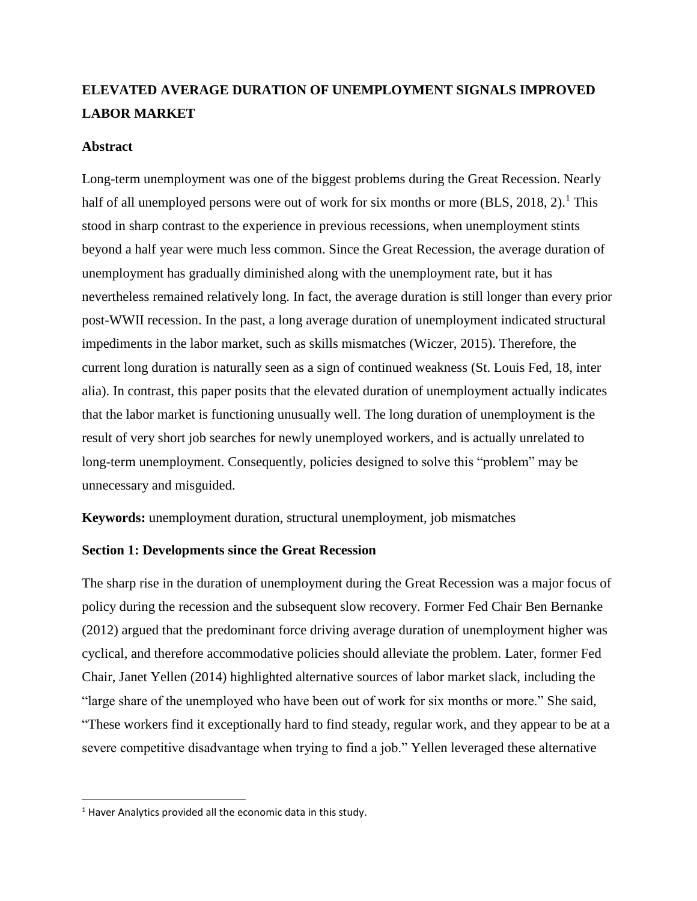### **ELEVATED AVERAGE DURATION OF UNEMPLOYMENT SIGNALS IMPROVED LABOR MARKET**

#### **Abstract**

Long-term unemployment was one of the biggest problems during the Great Recession. Nearly half of all unemployed persons were out of work for six months or more (BLS, 2018, 2).<sup>1</sup> This stood in sharp contrast to the experience in previous recessions, when unemployment stints beyond a half year were much less common. Since the Great Recession, the average duration of unemployment has gradually diminished along with the unemployment rate, but it has nevertheless remained relatively long. In fact, the average duration is still longer than every prior post-WWII recession. In the past, a long average duration of unemployment indicated structural impediments in the labor market, such as skills mismatches (Wiczer, 2015). Therefore, the current long duration is naturally seen as a sign of continued weakness (St. Louis Fed, 18, inter alia). In contrast, this paper posits that the elevated duration of unemployment actually indicates that the labor market is functioning unusually well. The long duration of unemployment is the result of very short job searches for newly unemployed workers, and is actually unrelated to long-term unemployment. Consequently, policies designed to solve this "problem" may be unnecessary and misguided.

**Keywords:** unemployment duration, structural unemployment, job mismatches

#### **Section 1: Developments since the Great Recession**

The sharp rise in the duration of unemployment during the Great Recession was a major focus of policy during the recession and the subsequent slow recovery. Former Fed Chair Ben Bernanke (2012) argued that the predominant force driving average duration of unemployment higher was cyclical, and therefore accommodative policies should alleviate the problem. Later, former Fed Chair, Janet Yellen (2014) highlighted alternative sources of labor market slack, including the "large share of the unemployed who have been out of work for six months or more." She said, "These workers find it exceptionally hard to find steady, regular work, and they appear to be at a severe competitive disadvantage when trying to find a job." Yellen leveraged these alternative

 $\overline{\phantom{a}}$ 

<sup>&</sup>lt;sup>1</sup> Haver Analytics provided all the economic data in this study.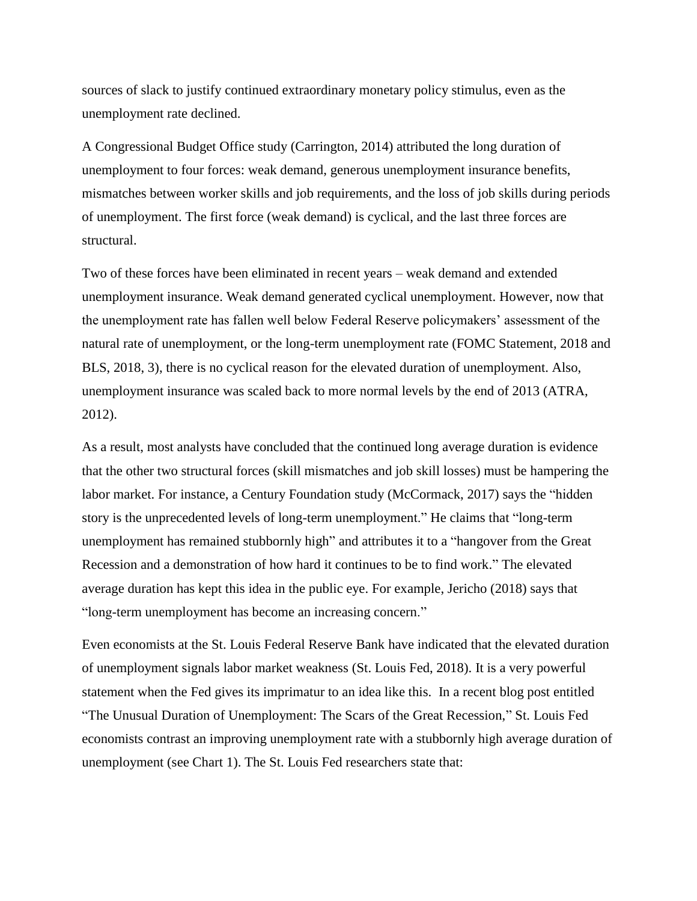sources of slack to justify continued extraordinary monetary policy stimulus, even as the unemployment rate declined.

A Congressional Budget Office study (Carrington, 2014) attributed the long duration of unemployment to four forces: weak demand, generous unemployment insurance benefits, mismatches between worker skills and job requirements, and the loss of job skills during periods of unemployment. The first force (weak demand) is cyclical, and the last three forces are structural.

Two of these forces have been eliminated in recent years – weak demand and extended unemployment insurance. Weak demand generated cyclical unemployment. However, now that the unemployment rate has fallen well below Federal Reserve policymakers' assessment of the natural rate of unemployment, or the long-term unemployment rate (FOMC Statement, 2018 and BLS, 2018, 3), there is no cyclical reason for the elevated duration of unemployment. Also, unemployment insurance was scaled back to more normal levels by the end of 2013 (ATRA, 2012).

As a result, most analysts have concluded that the continued long average duration is evidence that the other two structural forces (skill mismatches and job skill losses) must be hampering the labor market. For instance, a Century Foundation study (McCormack, 2017) says the "hidden story is the unprecedented levels of long-term unemployment." He claims that "long-term unemployment has remained stubbornly high" and attributes it to a "hangover from the Great Recession and a demonstration of how hard it continues to be to find work." The elevated average duration has kept this idea in the public eye. For example, Jericho (2018) says that "long-term unemployment has become an increasing concern."

Even economists at the St. Louis Federal Reserve Bank have indicated that the elevated duration of unemployment signals labor market weakness (St. Louis Fed, 2018). It is a very powerful statement when the Fed gives its imprimatur to an idea like this. In a recent blog post entitled "The Unusual Duration of Unemployment: The Scars of the Great Recession," St. Louis Fed economists contrast an improving unemployment rate with a stubbornly high average duration of unemployment (see Chart 1). The St. Louis Fed researchers state that: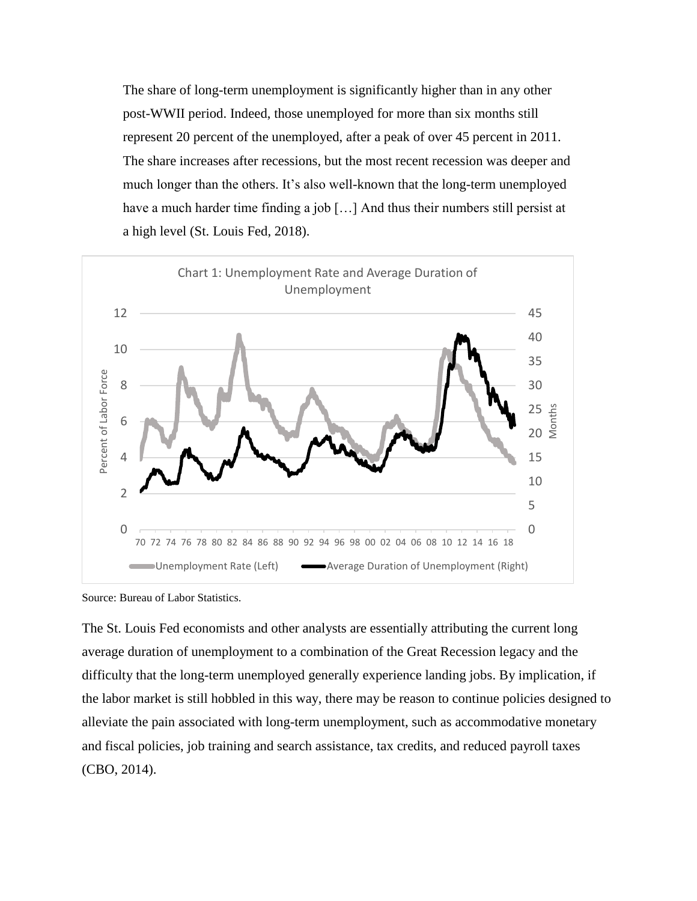The share of long-term unemployment is significantly higher than in any other post-WWII period. Indeed, those unemployed for more than six months still represent 20 percent of the unemployed, after a peak of over 45 percent in 2011. The share increases after recessions, but the most recent recession was deeper and much longer than the others. It's also well-known that the long-term unemployed have a much harder time finding a job [...] And thus their numbers still persist at a high level (St. Louis Fed, 2018).



Source: Bureau of Labor Statistics.

The St. Louis Fed economists and other analysts are essentially attributing the current long average duration of unemployment to a combination of the Great Recession legacy and the difficulty that the long-term unemployed generally experience landing jobs. By implication, if the labor market is still hobbled in this way, there may be reason to continue policies designed to alleviate the pain associated with long-term unemployment, such as accommodative monetary and fiscal policies, job training and search assistance, tax credits, and reduced payroll taxes (CBO, 2014).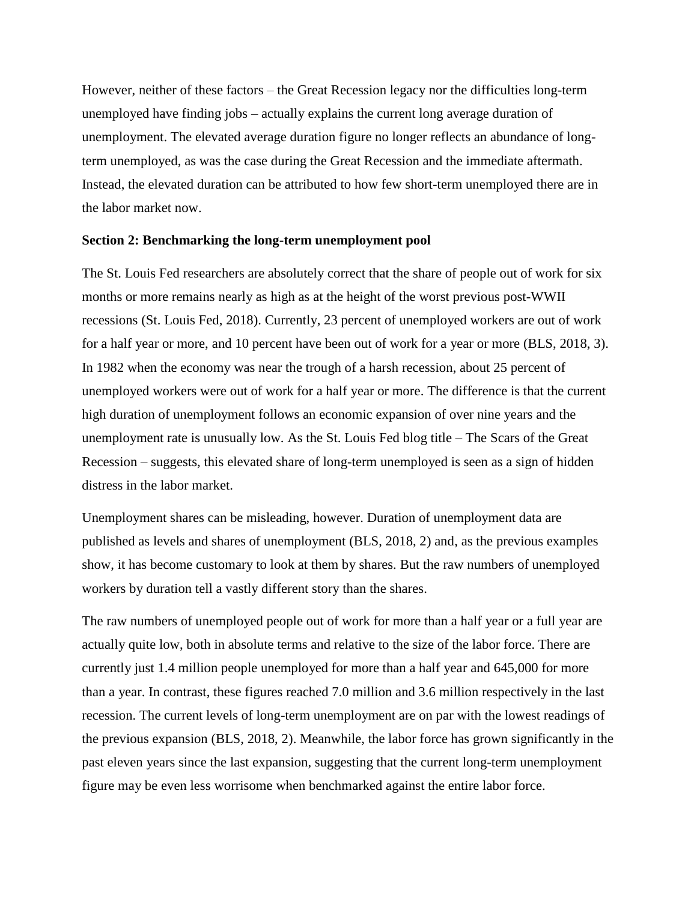However, neither of these factors – the Great Recession legacy nor the difficulties long-term unemployed have finding jobs – actually explains the current long average duration of unemployment. The elevated average duration figure no longer reflects an abundance of longterm unemployed, as was the case during the Great Recession and the immediate aftermath. Instead, the elevated duration can be attributed to how few short-term unemployed there are in the labor market now.

#### **Section 2: Benchmarking the long-term unemployment pool**

The St. Louis Fed researchers are absolutely correct that the share of people out of work for six months or more remains nearly as high as at the height of the worst previous post-WWII recessions (St. Louis Fed, 2018). Currently, 23 percent of unemployed workers are out of work for a half year or more, and 10 percent have been out of work for a year or more (BLS, 2018, 3). In 1982 when the economy was near the trough of a harsh recession, about 25 percent of unemployed workers were out of work for a half year or more. The difference is that the current high duration of unemployment follows an economic expansion of over nine years and the unemployment rate is unusually low. As the St. Louis Fed blog title – The Scars of the Great Recession – suggests, this elevated share of long-term unemployed is seen as a sign of hidden distress in the labor market.

Unemployment shares can be misleading, however. Duration of unemployment data are published as levels and shares of unemployment (BLS, 2018, 2) and, as the previous examples show, it has become customary to look at them by shares. But the raw numbers of unemployed workers by duration tell a vastly different story than the shares.

The raw numbers of unemployed people out of work for more than a half year or a full year are actually quite low, both in absolute terms and relative to the size of the labor force. There are currently just 1.4 million people unemployed for more than a half year and 645,000 for more than a year. In contrast, these figures reached 7.0 million and 3.6 million respectively in the last recession. The current levels of long-term unemployment are on par with the lowest readings of the previous expansion (BLS, 2018, 2). Meanwhile, the labor force has grown significantly in the past eleven years since the last expansion, suggesting that the current long-term unemployment figure may be even less worrisome when benchmarked against the entire labor force.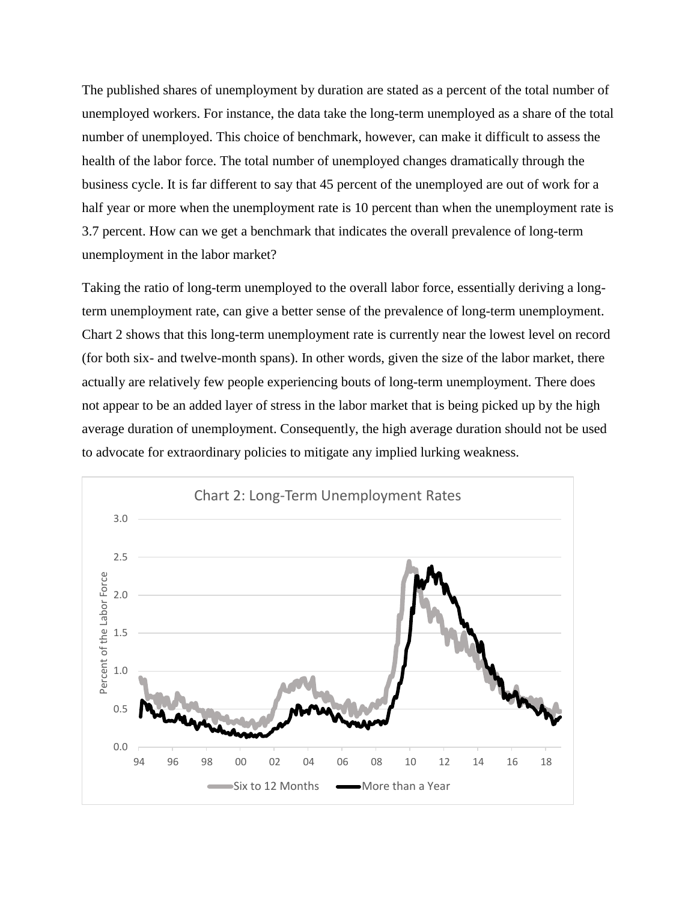The published shares of unemployment by duration are stated as a percent of the total number of unemployed workers. For instance, the data take the long-term unemployed as a share of the total number of unemployed. This choice of benchmark, however, can make it difficult to assess the health of the labor force. The total number of unemployed changes dramatically through the business cycle. It is far different to say that 45 percent of the unemployed are out of work for a half year or more when the unemployment rate is 10 percent than when the unemployment rate is 3.7 percent. How can we get a benchmark that indicates the overall prevalence of long-term unemployment in the labor market?

Taking the ratio of long-term unemployed to the overall labor force, essentially deriving a longterm unemployment rate, can give a better sense of the prevalence of long-term unemployment. Chart 2 shows that this long-term unemployment rate is currently near the lowest level on record (for both six- and twelve-month spans). In other words, given the size of the labor market, there actually are relatively few people experiencing bouts of long-term unemployment. There does not appear to be an added layer of stress in the labor market that is being picked up by the high average duration of unemployment. Consequently, the high average duration should not be used to advocate for extraordinary policies to mitigate any implied lurking weakness.

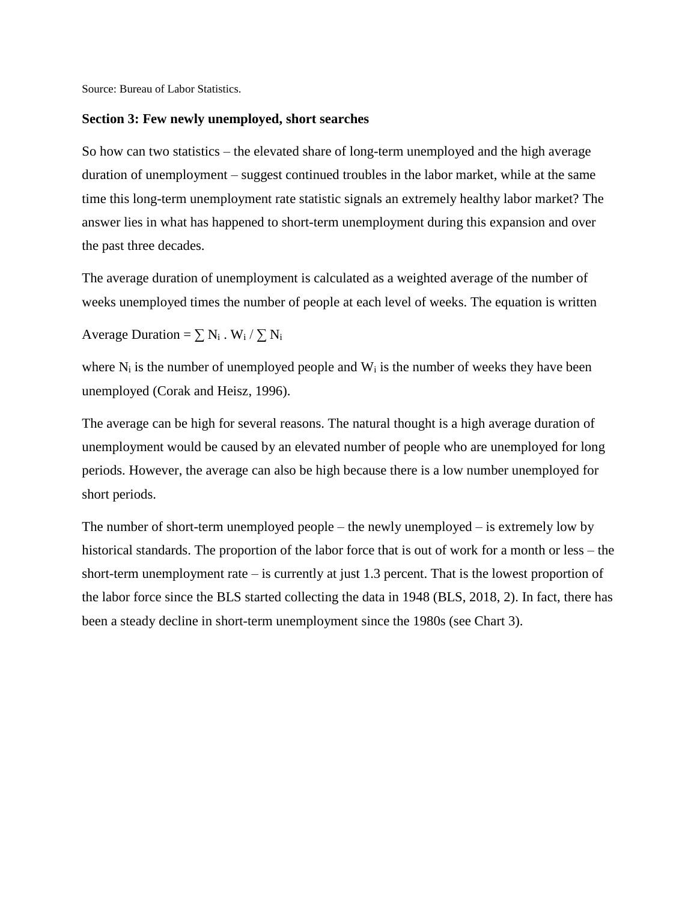Source: Bureau of Labor Statistics.

#### **Section 3: Few newly unemployed, short searches**

So how can two statistics – the elevated share of long-term unemployed and the high average duration of unemployment – suggest continued troubles in the labor market, while at the same time this long-term unemployment rate statistic signals an extremely healthy labor market? The answer lies in what has happened to short-term unemployment during this expansion and over the past three decades.

The average duration of unemployment is calculated as a weighted average of the number of weeks unemployed times the number of people at each level of weeks. The equation is written

Average Duration =  $\sum N_i$ . W<sub>i</sub> /  $\sum N_i$ 

where  $N_i$  is the number of unemployed people and  $W_i$  is the number of weeks they have been unemployed (Corak and Heisz, 1996).

The average can be high for several reasons. The natural thought is a high average duration of unemployment would be caused by an elevated number of people who are unemployed for long periods. However, the average can also be high because there is a low number unemployed for short periods.

The number of short-term unemployed people – the newly unemployed – is extremely low by historical standards. The proportion of the labor force that is out of work for a month or less – the short-term unemployment rate – is currently at just 1.3 percent. That is the lowest proportion of the labor force since the BLS started collecting the data in 1948 (BLS, 2018, 2). In fact, there has been a steady decline in short-term unemployment since the 1980s (see Chart 3).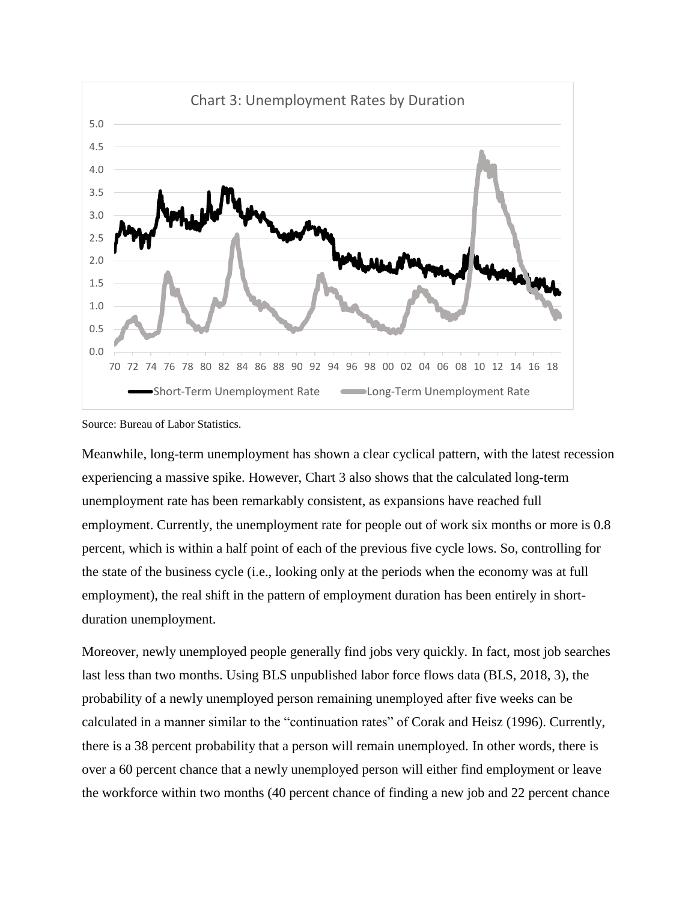

Source: Bureau of Labor Statistics.

Meanwhile, long-term unemployment has shown a clear cyclical pattern, with the latest recession experiencing a massive spike. However, Chart 3 also shows that the calculated long-term unemployment rate has been remarkably consistent, as expansions have reached full employment. Currently, the unemployment rate for people out of work six months or more is 0.8 percent, which is within a half point of each of the previous five cycle lows. So, controlling for the state of the business cycle (i.e., looking only at the periods when the economy was at full employment), the real shift in the pattern of employment duration has been entirely in shortduration unemployment.

Moreover, newly unemployed people generally find jobs very quickly. In fact, most job searches last less than two months. Using BLS unpublished labor force flows data (BLS, 2018, 3), the probability of a newly unemployed person remaining unemployed after five weeks can be calculated in a manner similar to the "continuation rates" of Corak and Heisz (1996). Currently, there is a 38 percent probability that a person will remain unemployed. In other words, there is over a 60 percent chance that a newly unemployed person will either find employment or leave the workforce within two months (40 percent chance of finding a new job and 22 percent chance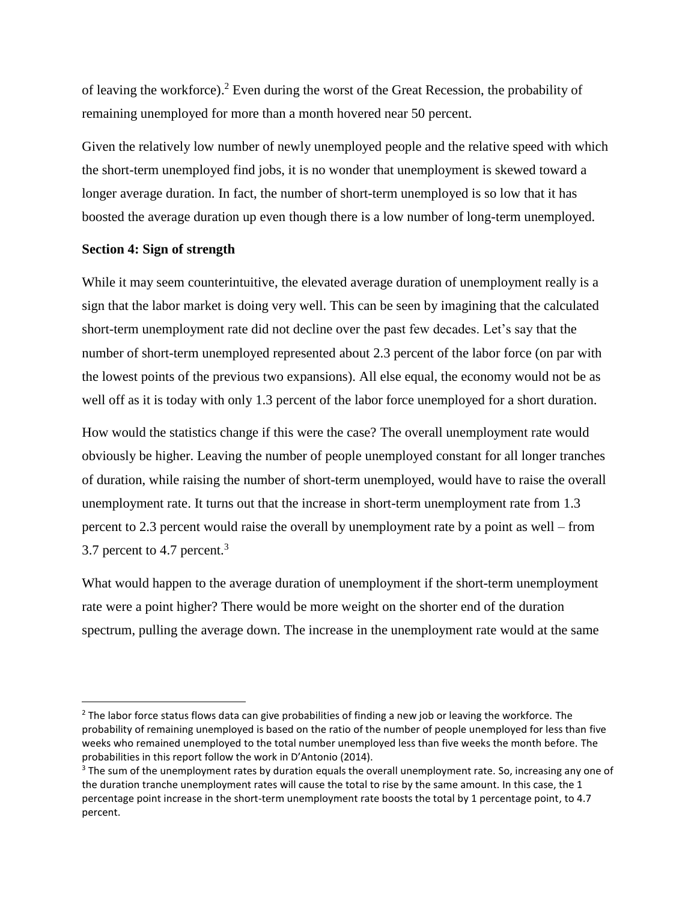of leaving the workforce).<sup>2</sup> Even during the worst of the Great Recession, the probability of remaining unemployed for more than a month hovered near 50 percent.

Given the relatively low number of newly unemployed people and the relative speed with which the short-term unemployed find jobs, it is no wonder that unemployment is skewed toward a longer average duration. In fact, the number of short-term unemployed is so low that it has boosted the average duration up even though there is a low number of long-term unemployed.

#### **Section 4: Sign of strength**

 $\overline{a}$ 

While it may seem counterintuitive, the elevated average duration of unemployment really is a sign that the labor market is doing very well. This can be seen by imagining that the calculated short-term unemployment rate did not decline over the past few decades. Let's say that the number of short-term unemployed represented about 2.3 percent of the labor force (on par with the lowest points of the previous two expansions). All else equal, the economy would not be as well off as it is today with only 1.3 percent of the labor force unemployed for a short duration.

How would the statistics change if this were the case? The overall unemployment rate would obviously be higher. Leaving the number of people unemployed constant for all longer tranches of duration, while raising the number of short-term unemployed, would have to raise the overall unemployment rate. It turns out that the increase in short-term unemployment rate from 1.3 percent to 2.3 percent would raise the overall by unemployment rate by a point as well – from 3.7 percent to 4.7 percent.<sup>3</sup>

What would happen to the average duration of unemployment if the short-term unemployment rate were a point higher? There would be more weight on the shorter end of the duration spectrum, pulling the average down. The increase in the unemployment rate would at the same

<sup>&</sup>lt;sup>2</sup> The labor force status flows data can give probabilities of finding a new job or leaving the workforce. The probability of remaining unemployed is based on the ratio of the number of people unemployed for less than five weeks who remained unemployed to the total number unemployed less than five weeks the month before. The probabilities in this report follow the work in D'Antonio (2014).

<sup>&</sup>lt;sup>3</sup> The sum of the unemployment rates by duration equals the overall unemployment rate. So, increasing any one of the duration tranche unemployment rates will cause the total to rise by the same amount. In this case, the 1 percentage point increase in the short-term unemployment rate boosts the total by 1 percentage point, to 4.7 percent.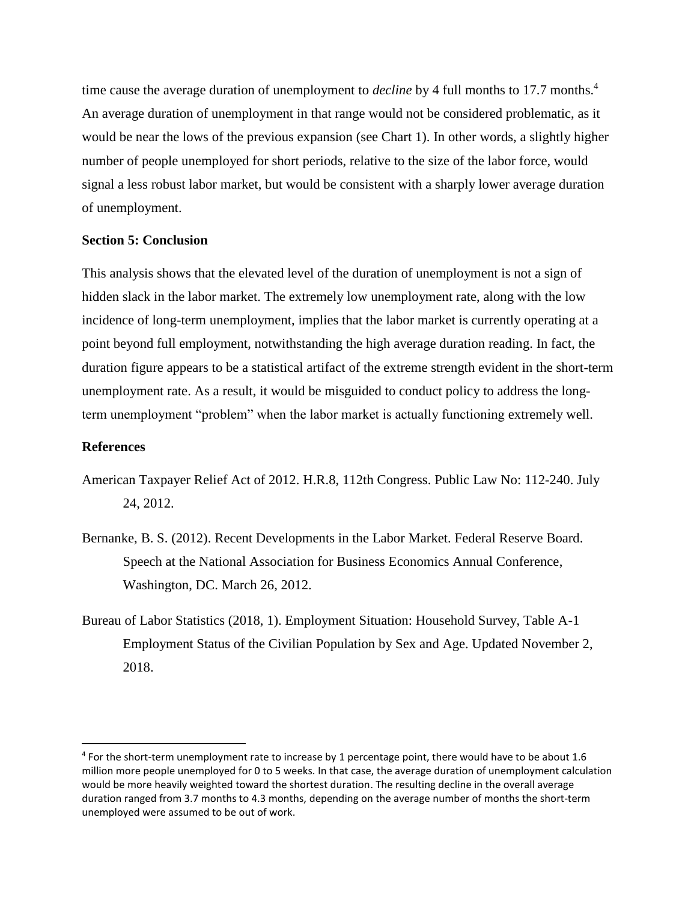time cause the average duration of unemployment to *decline* by 4 full months to 17.7 months.<sup>4</sup> An average duration of unemployment in that range would not be considered problematic, as it would be near the lows of the previous expansion (see Chart 1). In other words, a slightly higher number of people unemployed for short periods, relative to the size of the labor force, would signal a less robust labor market, but would be consistent with a sharply lower average duration of unemployment.

#### **Section 5: Conclusion**

This analysis shows that the elevated level of the duration of unemployment is not a sign of hidden slack in the labor market. The extremely low unemployment rate, along with the low incidence of long-term unemployment, implies that the labor market is currently operating at a point beyond full employment, notwithstanding the high average duration reading. In fact, the duration figure appears to be a statistical artifact of the extreme strength evident in the short-term unemployment rate. As a result, it would be misguided to conduct policy to address the longterm unemployment "problem" when the labor market is actually functioning extremely well.

#### **References**

 $\overline{\phantom{a}}$ 

- American Taxpayer Relief Act of 2012. H.R.8, 112th Congress. Public Law No: 112-240. July 24, 2012.
- Bernanke, B. S. (2012). Recent Developments in the Labor Market. Federal Reserve Board. Speech at the National Association for Business Economics Annual Conference, Washington, DC. March 26, 2012.
- Bureau of Labor Statistics (2018, 1). Employment Situation: Household Survey, Table A-1 Employment Status of the Civilian Population by Sex and Age. Updated November 2, 2018.

<sup>&</sup>lt;sup>4</sup> For the short-term unemployment rate to increase by 1 percentage point, there would have to be about 1.6 million more people unemployed for 0 to 5 weeks. In that case, the average duration of unemployment calculation would be more heavily weighted toward the shortest duration. The resulting decline in the overall average duration ranged from 3.7 months to 4.3 months, depending on the average number of months the short-term unemployed were assumed to be out of work.